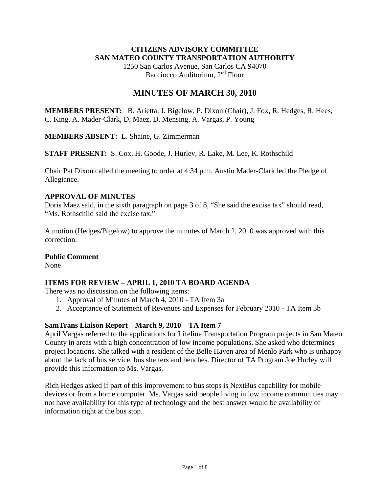### **CITIZENS ADVISORY COMMITTEE SAN MATEO COUNTY TRANSPORTATION AUTHORITY**

1250 San Carlos Avenue, San Carlos CA 94070 Bacciocco Auditorium, 2<sup>nd</sup> Floor

# **MINUTES OF MARCH 30, 2010**

**MEMBERS PRESENT:** B. Arietta, J. Bigelow, P. Dixon (Chair), J. Fox, R. Hedges, R. Hees, C. King, A. Mader-Clark, D. Maez, D. Mensing, A. Vargas, P. Young

**MEMBERS ABSENT:** L. Shaine, G. Zimmerman

**STAFF PRESENT:** S. Cox, H. Goode, J. Hurley, R. Lake, M. Lee, K. Rothschild

Chair Pat Dixon called the meeting to order at 4:34 p.m. Austin Mader-Clark led the Pledge of Allegiance.

### **APPROVAL OF MINUTES**

Doris Maez said, in the sixth paragraph on page 3 of 8, "She said the excise tax" should read, "Ms. Rothschild said the excise tax."

A motion (Hedges/Bigelow) to approve the minutes of March 2, 2010 was approved with this correction.

#### **Public Comment**

None

# **ITEMS FOR REVIEW – APRIL 1, 2010 TA BOARD AGENDA**

There was no discussion on the following items:

- 1. Approval of Minutes of March 4, 2010 TA Item 3a
- 2. Acceptance of Statement of Revenues and Expenses for February 2010 TA Item 3b

# **SamTrans Liaison Report – March 9, 2010 – TA Item 7**

April Vargas referred to the applications for Lifeline Transportation Program projects in San Mateo County in areas with a high concentration of low income populations. She asked who determines project locations. She talked with a resident of the Belle Haven area of Menlo Park who is unhappy about the lack of bus service, bus shelters and benches. Director of TA Program Joe Hurley will provide this information to Ms. Vargas.

Rich Hedges asked if part of this improvement to bus stops is NextBus capability for mobile devices or from a home computer. Ms. Vargas said people living in low income communities may not have availability for this type of technology and the best answer would be availability of information right at the bus stop.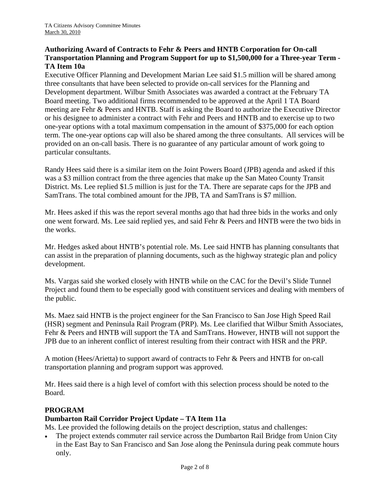### **Authorizing Award of Contracts to Fehr & Peers and HNTB Corporation for On-call Transportation Planning and Program Support for up to \$1,500,000 for a Three-year Term - TA Item 10a**

Executive Officer Planning and Development Marian Lee said \$1.5 million will be shared among three consultants that have been selected to provide on-call services for the Planning and Development department. Wilbur Smith Associates was awarded a contract at the February TA Board meeting. Two additional firms recommended to be approved at the April 1 TA Board meeting are Fehr & Peers and HNTB. Staff is asking the Board to authorize the Executive Director or his designee to administer a contract with Fehr and Peers and HNTB and to exercise up to two one-year options with a total maximum compensation in the amount of \$375,000 for each option term. The one-year options cap will also be shared among the three consultants. All services will be provided on an on-call basis. There is no guarantee of any particular amount of work going to particular consultants.

Randy Hees said there is a similar item on the Joint Powers Board (JPB) agenda and asked if this was a \$3 million contract from the three agencies that make up the San Mateo County Transit District. Ms. Lee replied \$1.5 million is just for the TA. There are separate caps for the JPB and SamTrans. The total combined amount for the JPB, TA and SamTrans is \$7 million.

Mr. Hees asked if this was the report several months ago that had three bids in the works and only one went forward. Ms. Lee said replied yes, and said Fehr & Peers and HNTB were the two bids in the works.

Mr. Hedges asked about HNTB's potential role. Ms. Lee said HNTB has planning consultants that can assist in the preparation of planning documents, such as the highway strategic plan and policy development.

Ms. Vargas said she worked closely with HNTB while on the CAC for the Devil's Slide Tunnel Project and found them to be especially good with constituent services and dealing with members of the public.

Ms. Maez said HNTB is the project engineer for the San Francisco to San Jose High Speed Rail (HSR) segment and Peninsula Rail Program (PRP). Ms. Lee clarified that Wilbur Smith Associates, Fehr & Peers and HNTB will support the TA and SamTrans. However, HNTB will not support the JPB due to an inherent conflict of interest resulting from their contract with HSR and the PRP.

A motion (Hees/Arietta) to support award of contracts to Fehr & Peers and HNTB for on-call transportation planning and program support was approved.

Mr. Hees said there is a high level of comfort with this selection process should be noted to the Board.

# **PROGRAM**

#### **Dumbarton Rail Corridor Project Update – TA Item 11a**

Ms. Lee provided the following details on the project description, status and challenges:

The project extends commuter rail service across the Dumbarton Rail Bridge from Union City in the East Bay to San Francisco and San Jose along the Peninsula during peak commute hours only.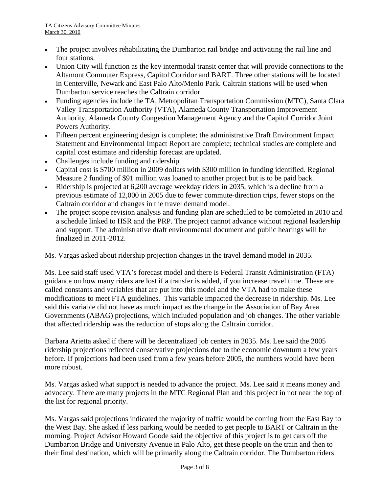- The project involves rehabilitating the Dumbarton rail bridge and activating the rail line and four stations.
- Union City will function as the key intermodal transit center that will provide connections to the Altamont Commuter Express, Capitol Corridor and BART. Three other stations will be located in Centerville, Newark and East Palo Alto/Menlo Park. Caltrain stations will be used when Dumbarton service reaches the Caltrain corridor.
- Funding agencies include the TA, Metropolitan Transportation Commission (MTC), Santa Clara Valley Transportation Authority (VTA), Alameda County Transportation Improvement Authority, Alameda County Congestion Management Agency and the Capitol Corridor Joint Powers Authority.
- Fifteen percent engineering design is complete; the administrative Draft Environment Impact Statement and Environmental Impact Report are complete; technical studies are complete and capital cost estimate and ridership forecast are updated.
- Challenges include funding and ridership.
- Capital cost is \$700 million in 2009 dollars with \$300 million in funding identified. Regional Measure 2 funding of \$91 million was loaned to another project but is to be paid back.
- Ridership is projected at 6,200 average weekday riders in 2035, which is a decline from a previous estimate of 12,000 in 2005 due to fewer commute-direction trips, fewer stops on the Caltrain corridor and changes in the travel demand model.
- The project scope revision analysis and funding plan are scheduled to be completed in 2010 and a schedule linked to HSR and the PRP. The project cannot advance without regional leadership and support. The administrative draft environmental document and public hearings will be finalized in 2011-2012.

Ms. Vargas asked about ridership projection changes in the travel demand model in 2035.

Ms. Lee said staff used VTA's forecast model and there is Federal Transit Administration (FTA) guidance on how many riders are lost if a transfer is added, if you increase travel time. These are called constants and variables that are put into this model and the VTA had to make these modifications to meet FTA guidelines. This variable impacted the decrease in ridership. Ms. Lee said this variable did not have as much impact as the change in the Association of Bay Area Governments (ABAG) projections, which included population and job changes. The other variable that affected ridership was the reduction of stops along the Caltrain corridor.

Barbara Arietta asked if there will be decentralized job centers in 2035. Ms. Lee said the 2005 ridership projections reflected conservative projections due to the economic downturn a few years before. If projections had been used from a few years before 2005, the numbers would have been more robust.

Ms. Vargas asked what support is needed to advance the project. Ms. Lee said it means money and advocacy. There are many projects in the MTC Regional Plan and this project in not near the top of the list for regional priority.

Ms. Vargas said projections indicated the majority of traffic would be coming from the East Bay to the West Bay. She asked if less parking would be needed to get people to BART or Caltrain in the morning. Project Advisor Howard Goode said the objective of this project is to get cars off the Dumbarton Bridge and University Avenue in Palo Alto, get these people on the train and then to their final destination, which will be primarily along the Caltrain corridor. The Dumbarton riders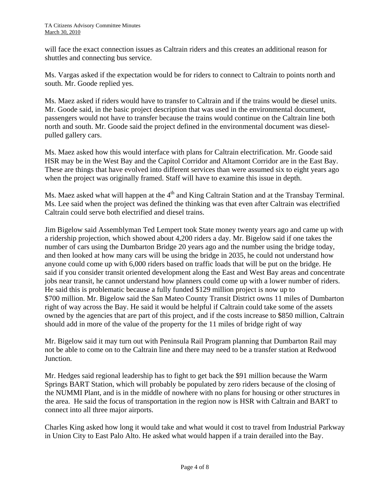will face the exact connection issues as Caltrain riders and this creates an additional reason for shuttles and connecting bus service.

Ms. Vargas asked if the expectation would be for riders to connect to Caltrain to points north and south. Mr. Goode replied yes.

Ms. Maez asked if riders would have to transfer to Caltrain and if the trains would be diesel units. Mr. Goode said, in the basic project description that was used in the environmental document, passengers would not have to transfer because the trains would continue on the Caltrain line both north and south. Mr. Goode said the project defined in the environmental document was dieselpulled gallery cars.

Ms. Maez asked how this would interface with plans for Caltrain electrification. Mr. Goode said HSR may be in the West Bay and the Capitol Corridor and Altamont Corridor are in the East Bay. These are things that have evolved into different services than were assumed six to eight years ago when the project was originally framed. Staff will have to examine this issue in depth.

Ms. Maez asked what will happen at the  $4<sup>th</sup>$  and King Caltrain Station and at the Transbay Terminal. Ms. Lee said when the project was defined the thinking was that even after Caltrain was electrified Caltrain could serve both electrified and diesel trains.

Jim Bigelow said Assemblyman Ted Lempert took State money twenty years ago and came up with a ridership projection, which showed about 4,200 riders a day. Mr. Bigelow said if one takes the number of cars using the Dumbarton Bridge 20 years ago and the number using the bridge today, and then looked at how many cars will be using the bridge in 2035, he could not understand how anyone could come up with 6,000 riders based on traffic loads that will be put on the bridge. He said if you consider transit oriented development along the East and West Bay areas and concentrate jobs near transit, he cannot understand how planners could come up with a lower number of riders. He said this is problematic because a fully funded \$129 million project is now up to \$700 million. Mr. Bigelow said the San Mateo County Transit District owns 11 miles of Dumbarton right of way across the Bay. He said it would be helpful if Caltrain could take some of the assets owned by the agencies that are part of this project, and if the costs increase to \$850 million, Caltrain should add in more of the value of the property for the 11 miles of bridge right of way

Mr. Bigelow said it may turn out with Peninsula Rail Program planning that Dumbarton Rail may not be able to come on to the Caltrain line and there may need to be a transfer station at Redwood Junction.

Mr. Hedges said regional leadership has to fight to get back the \$91 million because the Warm Springs BART Station, which will probably be populated by zero riders because of the closing of the NUMMI Plant, and is in the middle of nowhere with no plans for housing or other structures in the area. He said the focus of transportation in the region now is HSR with Caltrain and BART to connect into all three major airports.

Charles King asked how long it would take and what would it cost to travel from Industrial Parkway in Union City to East Palo Alto. He asked what would happen if a train derailed into the Bay.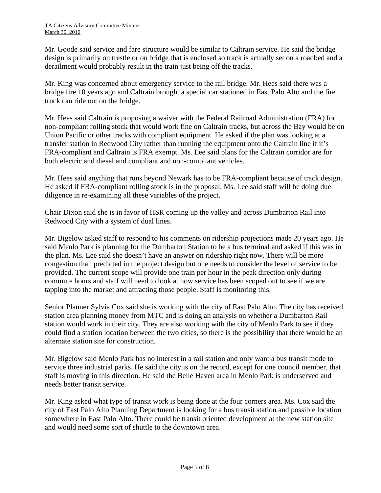Mr. Goode said service and fare structure would be similar to Caltrain service. He said the bridge design is primarily on trestle or on bridge that is enclosed so track is actually set on a roadbed and a derailment would probably result in the train just being off the tracks.

Mr. King was concerned about emergency service to the rail bridge. Mr. Hees said there was a bridge fire 10 years ago and Caltrain brought a special car stationed in East Palo Alto and the fire truck can ride out on the bridge.

Mr. Hees said Caltrain is proposing a waiver with the Federal Railroad Administration (FRA) for non-compliant rolling stock that would work fine on Caltrain tracks, but across the Bay would be on Union Pacific or other tracks with compliant equipment. He asked if the plan was looking at a transfer station in Redwood City rather than running the equipment onto the Caltrain line if it's FRA-compliant and Caltrain is FRA exempt. Ms. Lee said plans for the Caltrain corridor are for both electric and diesel and compliant and non-compliant vehicles.

Mr. Hees said anything that runs beyond Newark has to be FRA-compliant because of track design. He asked if FRA-compliant rolling stock is in the proposal. Ms. Lee said staff will be doing due diligence in re-examining all these variables of the project.

Chair Dixon said she is in favor of HSR coming up the valley and across Dumbarton Rail into Redwood City with a system of dual lines.

Mr. Bigelow asked staff to respond to his comments on ridership projections made 20 years ago. He said Menlo Park is planning for the Dumbarton Station to be a bus terminal and asked if this was in the plan. Ms. Lee said she doesn't have an answer on ridership right now. There will be more congestion than predicted in the project design but one needs to consider the level of service to be provided. The current scope will provide one train per hour in the peak direction only during commute hours and staff will need to look at how service has been scoped out to see if we are tapping into the market and attracting those people. Staff is monitoring this.

Senior Planner Sylvia Cox said she is working with the city of East Palo Alto. The city has received station area planning money from MTC and is doing an analysis on whether a Dumbarton Rail station would work in their city. They are also working with the city of Menlo Park to see if they could find a station location between the two cities, so there is the possibility that there would be an alternate station site for construction.

Mr. Bigelow said Menlo Park has no interest in a rail station and only want a bus transit mode to service three industrial parks. He said the city is on the record, except for one council member, that staff is moving in this direction. He said the Belle Haven area in Menlo Park is underserved and needs better transit service.

Mr. King asked what type of transit work is being done at the four corners area. Ms. Cox said the city of East Palo Alto Planning Department is looking for a bus transit station and possible location somewhere in East Palo Alto. There could be transit oriented development at the new station site and would need some sort of shuttle to the downtown area.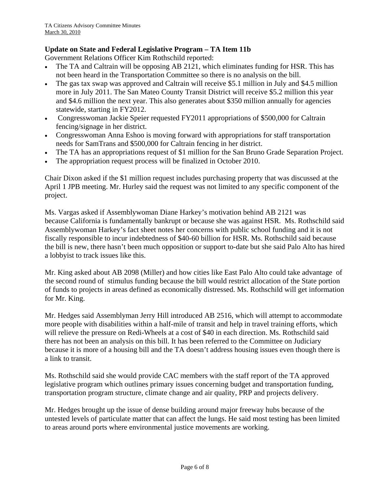### **Update on State and Federal Legislative Program – TA Item 11b**

Government Relations Officer Kim Rothschild reported:

- The TA and Caltrain will be opposing AB 2121, which eliminates funding for HSR. This has not been heard in the Transportation Committee so there is no analysis on the bill.
- The gas tax swap was approved and Caltrain will receive \$5.1 million in July and \$4.5 million more in July 2011. The San Mateo County Transit District will receive \$5.2 million this year and \$4.6 million the next year. This also generates about \$350 million annually for agencies statewide, starting in FY2012.
- Congresswoman Jackie Speier requested FY2011 appropriations of \$500,000 for Caltrain fencing/signage in her district.
- Congresswoman Anna Eshoo is moving forward with appropriations for staff transportation needs for SamTrans and \$500,000 for Caltrain fencing in her district.
- The TA has an appropriations request of \$1 million for the San Bruno Grade Separation Project.
- The appropriation request process will be finalized in October 2010.

Chair Dixon asked if the \$1 million request includes purchasing property that was discussed at the April 1 JPB meeting. Mr. Hurley said the request was not limited to any specific component of the project.

Ms. Vargas asked if Assemblywoman Diane Harkey's motivation behind AB 2121 was because California is fundamentally bankrupt or because she was against HSR. Ms. Rothschild said Assemblywoman Harkey's fact sheet notes her concerns with public school funding and it is not fiscally responsible to incur indebtedness of \$40-60 billion for HSR. Ms. Rothschild said because the bill is new, there hasn't been much opposition or support to-date but she said Palo Alto has hired a lobbyist to track issues like this.

Mr. King asked about AB 2098 (Miller) and how cities like East Palo Alto could take advantage of the second round of stimulus funding because the bill would restrict allocation of the State portion of funds to projects in areas defined as economically distressed. Ms. Rothschild will get information for Mr. King.

Mr. Hedges said Assemblyman Jerry Hill introduced AB 2516, which will attempt to accommodate more people with disabilities within a half-mile of transit and help in travel training efforts, which will relieve the pressure on Redi-Wheels at a cost of \$40 in each direction. Ms. Rothschild said there has not been an analysis on this bill. It has been referred to the Committee on Judiciary because it is more of a housing bill and the TA doesn't address housing issues even though there is a link to transit.

Ms. Rothschild said she would provide CAC members with the staff report of the TA approved legislative program which outlines primary issues concerning budget and transportation funding, transportation program structure, climate change and air quality, PRP and projects delivery.

Mr. Hedges brought up the issue of dense building around major freeway hubs because of the untested levels of particulate matter that can affect the lungs. He said most testing has been limited to areas around ports where environmental justice movements are working.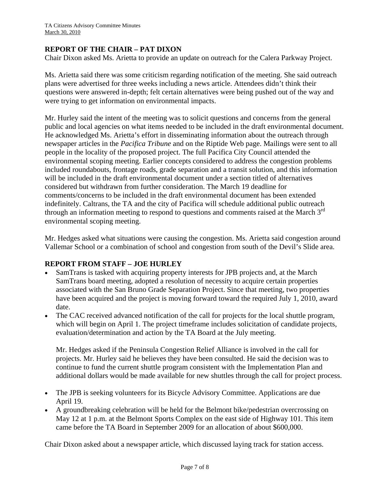### **REPORT OF THE CHAIR – PAT DIXON**

Chair Dixon asked Ms. Arietta to provide an update on outreach for the Calera Parkway Project.

Ms. Arietta said there was some criticism regarding notification of the meeting. She said outreach plans were advertised for three weeks including a news article. Attendees didn't think their questions were answered in-depth; felt certain alternatives were being pushed out of the way and were trying to get information on environmental impacts.

Mr. Hurley said the intent of the meeting was to solicit questions and concerns from the general public and local agencies on what items needed to be included in the draft environmental document. He acknowledged Ms. Arietta's effort in disseminating information about the outreach through newspaper articles in the *Pacifica Tribune* and on the Riptide Web page. Mailings were sent to all people in the locality of the proposed project. The full Pacifica City Council attended the environmental scoping meeting. Earlier concepts considered to address the congestion problems included roundabouts, frontage roads, grade separation and a transit solution, and this information will be included in the draft environmental document under a section titled of alternatives considered but withdrawn from further consideration. The March 19 deadline for comments/concerns to be included in the draft environmental document has been extended indefinitely. Caltrans, the TA and the city of Pacifica will schedule additional public outreach through an information meeting to respond to questions and comments raised at the March  $3<sup>rd</sup>$ environmental scoping meeting.

Mr. Hedges asked what situations were causing the congestion. Ms. Arietta said congestion around Vallemar School or a combination of school and congestion from south of the Devil's Slide area.

#### **REPORT FROM STAFF – JOE HURLEY**

- SamTrans is tasked with acquiring property interests for JPB projects and, at the March SamTrans board meeting, adopted a resolution of necessity to acquire certain properties associated with the San Bruno Grade Separation Project. Since that meeting, two properties have been acquired and the project is moving forward toward the required July 1, 2010, award date.
- The CAC received advanced notification of the call for projects for the local shuttle program, which will begin on April 1. The project timeframe includes solicitation of candidate projects, evaluation/determination and action by the TA Board at the July meeting.

Mr. Hedges asked if the Peninsula Congestion Relief Alliance is involved in the call for projects. Mr. Hurley said he believes they have been consulted. He said the decision was to continue to fund the current shuttle program consistent with the Implementation Plan and additional dollars would be made available for new shuttles through the call for project process.

- The JPB is seeking volunteers for its Bicycle Advisory Committee. Applications are due April 19.
- A groundbreaking celebration will be held for the Belmont bike/pedestrian overcrossing on May 12 at 1 p.m. at the Belmont Sports Complex on the east side of Highway 101. This item came before the TA Board in September 2009 for an allocation of about \$600,000.

Chair Dixon asked about a newspaper article, which discussed laying track for station access.